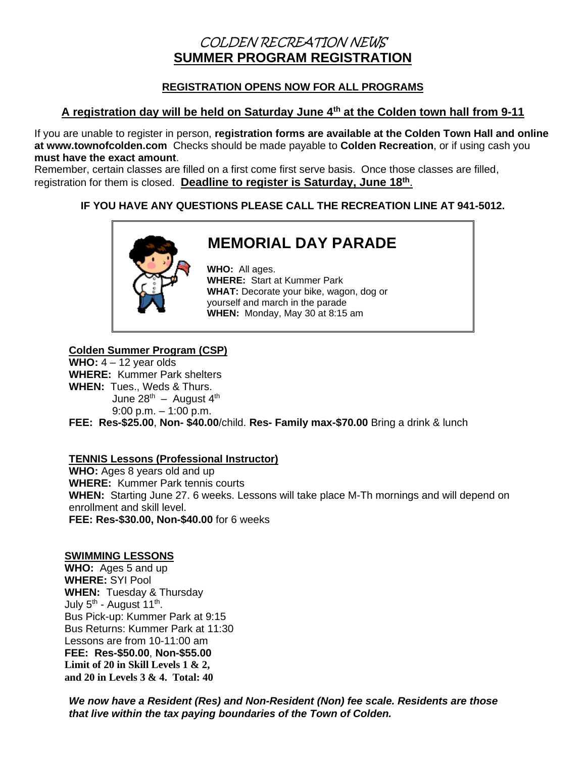## COLDEN RECREATION NEWS **SUMMER PROGRAM REGISTRATION**

### **REGISTRATION OPENS NOW FOR ALL PROGRAMS**

### **A registration day will be held on Saturday June 4th at the Colden town hall from 9-11**

If you are unable to register in person, **registration forms are available at the Colden Town Hall and online at www.townofcolden.com** Checks should be made payable to **Colden Recreation**, or if using cash you **must have the exact amount**.

Remember, certain classes are filled on a first come first serve basis. Once those classes are filled, registration for them is closed. **Deadline to register is Saturday, June 18th** .

### **IF YOU HAVE ANY QUESTIONS PLEASE CALL THE RECREATION LINE AT 941-5012.**



# **MEMORIAL DAY PARADE**

**WHO:** All ages. **WHERE:** Start at Kummer Park **WHAT:** Decorate your bike, wagon, dog or yourself and march in the parade **WHEN:** Monday, May 30 at 8:15 am

#### **Colden Summer Program (CSP)**

**WHO:**  $4 - 12$  year olds **WHERE:** Kummer Park shelters **WHEN:** Tues., Weds & Thurs. June 28<sup>th</sup> – August 4<sup>th</sup> 9:00 p.m. – 1:00 p.m.

**FEE: Res-\$25.00**, **Non- \$40.00**/child. **Res- Family max-\$70.00** Bring a drink & lunch

#### **TENNIS Lessons (Professional Instructor)**

WHO: Ages 8 years old and up **WHERE:** Kummer Park tennis courts **WHEN:** Starting June 27. 6 weeks. Lessons will take place M-Th mornings and will depend on enrollment and skill level. **FEE: Res-\$30.00, Non-\$40.00** for 6 weeks

#### **SWIMMING LESSONS**

**WHO:** Ages 5 and up **WHERE:** SYI Pool **WHEN:** Tuesday & Thursday July 5<sup>th</sup> - August 11<sup>th</sup>. Bus Pick-up: Kummer Park at 9:15 Bus Returns: Kummer Park at 11:30 Lessons are from 10-11:00 am **FEE: Res-\$50.00**, **Non-\$55.00 Limit of 20 in Skill Levels 1 & 2, and 20 in Levels 3 & 4. Total: 40**

*We now have a Resident (Res) and Non-Resident (Non) fee scale. Residents are those that live within the tax paying boundaries of the Town of Colden.*